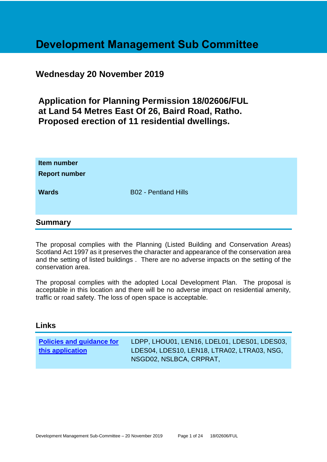# **Development Management Sub Committee**

# **Wednesday 20 November 2019**

**Application for Planning Permission 18/02606/FUL at Land 54 Metres East Of 26, Baird Road, Ratho. Proposed erection of 11 residential dwellings.**

| Item number<br><b>Report number</b><br><b>Wards</b> | <b>B02 - Pentland Hills</b> |
|-----------------------------------------------------|-----------------------------|
| <b>Summary</b>                                      |                             |

The proposal complies with the Planning (Listed Building and Conservation Areas) Scotland Act 1997 as it preserves the character and appearance of the conservation area and the setting of listed buildings . There are no adverse impacts on the setting of the conservation area.

The proposal complies with the adopted Local Development Plan. The proposal is acceptable in this location and there will be no adverse impact on residential amenity, traffic or road safety. The loss of open space is acceptable.

#### **Links**

| <b>Policies and guidance for</b> | LDPP, LHOU01, LEN16, LDEL01, LDES01, LDES03, |
|----------------------------------|----------------------------------------------|
| this application                 | LDES04, LDES10, LEN18, LTRA02, LTRA03, NSG,  |
|                                  | NSGD02, NSLBCA, CRPRAT,                      |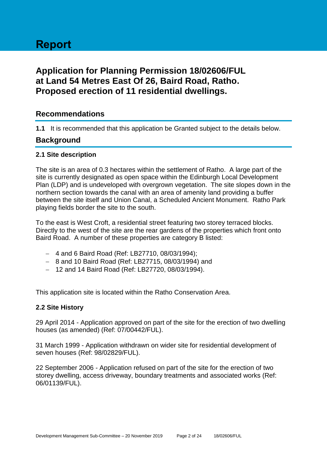# **Report**

# **Application for Planning Permission 18/02606/FUL at Land 54 Metres East Of 26, Baird Road, Ratho. Proposed erection of 11 residential dwellings.**

# **Recommendations**

**1.1** It is recommended that this application be Granted subject to the details below.

# **Background**

#### **2.1 Site description**

The site is an area of 0.3 hectares within the settlement of Ratho. A large part of the site is currently designated as open space within the Edinburgh Local Development Plan (LDP) and is undeveloped with overgrown vegetation. The site slopes down in the northern section towards the canal with an area of amenity land providing a buffer between the site itself and Union Canal, a Scheduled Ancient Monument. Ratho Park playing fields border the site to the south.

To the east is West Croft, a residential street featuring two storey terraced blocks. Directly to the west of the site are the rear gardens of the properties which front onto Baird Road. A number of these properties are category B listed:

- 4 and 6 Baird Road (Ref: LB27710, 08/03/1994);
- 8 and 10 Baird Road (Ref: LB27715, 08/03/1994) and
- 12 and 14 Baird Road (Ref: LB27720, 08/03/1994).

This application site is located within the Ratho Conservation Area.

#### **2.2 Site History**

29 April 2014 - Application approved on part of the site for the erection of two dwelling houses (as amended) (Ref: 07/00442/FUL).

31 March 1999 - Application withdrawn on wider site for residential development of seven houses (Ref: 98/02829/FUL).

22 September 2006 - Application refused on part of the site for the erection of two storey dwelling, access driveway, boundary treatments and associated works (Ref: 06/01139/FUL).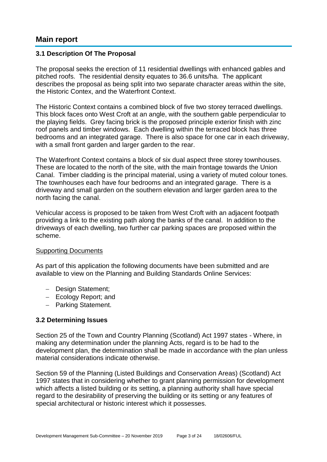# **Main report**

#### **3.1 Description Of The Proposal**

The proposal seeks the erection of 11 residential dwellings with enhanced gables and pitched roofs. The residential density equates to 36.6 units/ha. The applicant describes the proposal as being split into two separate character areas within the site, the Historic Contex, and the Waterfront Context.

The Historic Context contains a combined block of five two storey terraced dwellings. This block faces onto West Croft at an angle, with the southern gable perpendicular to the playing fields. Grey facing brick is the proposed principle exterior finish with zinc roof panels and timber windows. Each dwelling within the terraced block has three bedrooms and an integrated garage. There is also space for one car in each driveway, with a small front garden and larger garden to the rear.

The Waterfront Context contains a block of six dual aspect three storey townhouses. These are located to the north of the site, with the main frontage towards the Union Canal. Timber cladding is the principal material, using a variety of muted colour tones. The townhouses each have four bedrooms and an integrated garage. There is a driveway and small garden on the southern elevation and larger garden area to the north facing the canal.

Vehicular access is proposed to be taken from West Croft with an adjacent footpath providing a link to the existing path along the banks of the canal. In addition to the driveways of each dwelling, two further car parking spaces are proposed within the scheme.

#### Supporting Documents

As part of this application the following documents have been submitted and are available to view on the Planning and Building Standards Online Services:

- Design Statement;
- Ecology Report; and
- Parking Statement.

#### **3.2 Determining Issues**

Section 25 of the Town and Country Planning (Scotland) Act 1997 states - Where, in making any determination under the planning Acts, regard is to be had to the development plan, the determination shall be made in accordance with the plan unless material considerations indicate otherwise.

Section 59 of the Planning (Listed Buildings and Conservation Areas) (Scotland) Act 1997 states that in considering whether to grant planning permission for development which affects a listed building or its setting, a planning authority shall have special regard to the desirability of preserving the building or its setting or any features of special architectural or historic interest which it possesses.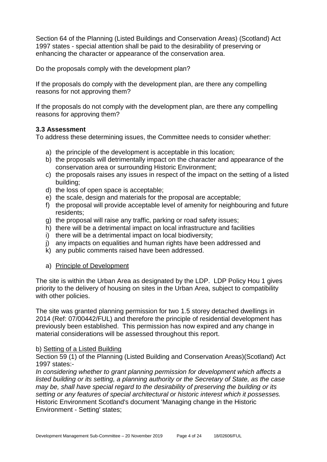Section 64 of the Planning (Listed Buildings and Conservation Areas) (Scotland) Act 1997 states - special attention shall be paid to the desirability of preserving or enhancing the character or appearance of the conservation area.

Do the proposals comply with the development plan?

If the proposals do comply with the development plan, are there any compelling reasons for not approving them?

If the proposals do not comply with the development plan, are there any compelling reasons for approving them?

#### **3.3 Assessment**

To address these determining issues, the Committee needs to consider whether:

- a) the principle of the development is acceptable in this location;
- b) the proposals will detrimentally impact on the character and appearance of the conservation area or surrounding Historic Environment;
- c) the proposals raises any issues in respect of the impact on the setting of a listed building;
- d) the loss of open space is acceptable;
- e) the scale, design and materials for the proposal are acceptable;
- f) the proposal will provide acceptable level of amenity for neighbouring and future residents;
- g) the proposal will raise any traffic, parking or road safety issues;
- h) there will be a detrimental impact on local infrastructure and facilities
- i) there will be a detrimental impact on local biodiversity;
- j) any impacts on equalities and human rights have been addressed and
- k) any public comments raised have been addressed.

#### a) Principle of Development

The site is within the Urban Area as designated by the LDP. LDP Policy Hou 1 gives priority to the delivery of housing on sites in the Urban Area, subject to compatibility with other policies.

The site was granted planning permission for two 1.5 storey detached dwellings in 2014 (Ref: 07/00442/FUL) and therefore the principle of residential development has previously been established. This permission has now expired and any change in material considerations will be assessed throughout this report.

#### b) Setting of a Listed Building

Section 59 (1) of the Planning (Listed Building and Conservation Areas)(Scotland) Act 1997 states:-

*In considering whether to grant planning permission for development which affects a listed building or its setting, a planning authority or the Secretary of State, as the case may be, shall have special regard to the desirability of preserving the building or its setting or any features of special architectural or historic interest which it possesses.* Historic Environment Scotland's document 'Managing change in the Historic Environment - Setting' states;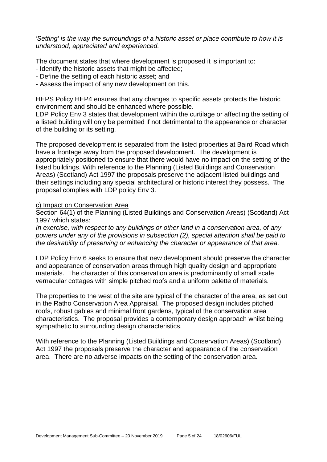*'Setting' is the way the surroundings of a historic asset or place contribute to how it is understood, appreciated and experienced.*

The document states that where development is proposed it is important to:

- Identify the historic assets that might be affected;
- Define the setting of each historic asset; and
- Assess the impact of any new development on this.

HEPS Policy HEP4 ensures that any changes to specific assets protects the historic environment and should be enhanced where possible.

LDP Policy Env 3 states that development within the curtilage or affecting the setting of a listed building will only be permitted if not detrimental to the appearance or character of the building or its setting.

The proposed development is separated from the listed properties at Baird Road which have a frontage away from the proposed development. The development is appropriately positioned to ensure that there would have no impact on the setting of the listed buildings. With reference to the Planning (Listed Buildings and Conservation Areas) (Scotland) Act 1997 the proposals preserve the adjacent listed buildings and their settings including any special architectural or historic interest they possess. The proposal complies with LDP policy Env 3.

#### c) Impact on Conservation Area

Section 64(1) of the Planning (Listed Buildings and Conservation Areas) (Scotland) Act 1997 which states:

*In exercise, with respect to any buildings or other land in a conservation area, of any powers under any of the provisions in subsection (2), special attention shall be paid to the desirability of preserving or enhancing the character or appearance of that area.*

LDP Policy Env 6 seeks to ensure that new development should preserve the character and appearance of conservation areas through high quality design and appropriate materials. The character of this conservation area is predominantly of small scale vernacular cottages with simple pitched roofs and a uniform palette of materials.

The properties to the west of the site are typical of the character of the area, as set out in the Ratho Conservation Area Appraisal. The proposed design includes pitched roofs, robust gables and minimal front gardens, typical of the conservation area characteristics. The proposal provides a contemporary design approach whilst being sympathetic to surrounding design characteristics.

With reference to the Planning (Listed Buildings and Conservation Areas) (Scotland) Act 1997 the proposals preserve the character and appearance of the conservation area. There are no adverse impacts on the setting of the conservation area.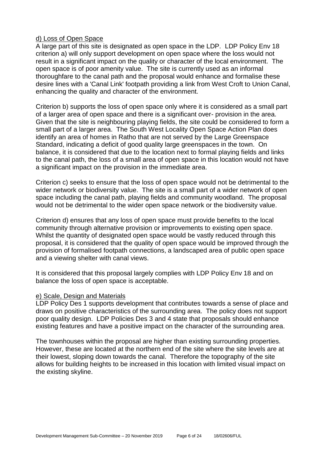#### d) Loss of Open Space

A large part of this site is designated as open space in the LDP. LDP Policy Env 18 criterion a) will only support development on open space where the loss would not result in a significant impact on the quality or character of the local environment. The open space is of poor amenity value. The site is currently used as an informal thoroughfare to the canal path and the proposal would enhance and formalise these desire lines with a 'Canal Link' footpath providing a link from West Croft to Union Canal, enhancing the quality and character of the environment.

Criterion b) supports the loss of open space only where it is considered as a small part of a larger area of open space and there is a significant over- provision in the area. Given that the site is neighbouring playing fields, the site could be considered to form a small part of a larger area. The South West Locality Open Space Action Plan does identify an area of homes in Ratho that are not served by the Large Greenspace Standard, indicating a deficit of good quality large greenspaces in the town. On balance, it is considered that due to the location next to formal playing fields and links to the canal path, the loss of a small area of open space in this location would not have a significant impact on the provision in the immediate area.

Criterion c) seeks to ensure that the loss of open space would not be detrimental to the wider network or biodiversity value. The site is a small part of a wider network of open space including the canal path, playing fields and community woodland. The proposal would not be detrimental to the wider open space network or the biodiversity value.

Criterion d) ensures that any loss of open space must provide benefits to the local community through alternative provision or improvements to existing open space. Whilst the quantity of designated open space would be vastly reduced through this proposal, it is considered that the quality of open space would be improved through the provision of formalised footpath connections, a landscaped area of public open space and a viewing shelter with canal views.

It is considered that this proposal largely complies with LDP Policy Env 18 and on balance the loss of open space is acceptable.

#### e) Scale, Design and Materials

LDP Policy Des 1 supports development that contributes towards a sense of place and draws on positive characteristics of the surrounding area. The policy does not support poor quality design. LDP Policies Des 3 and 4 state that proposals should enhance existing features and have a positive impact on the character of the surrounding area.

The townhouses within the proposal are higher than existing surrounding properties. However, these are located at the northern end of the site where the site levels are at their lowest, sloping down towards the canal. Therefore the topography of the site allows for building heights to be increased in this location with limited visual impact on the existing skyline.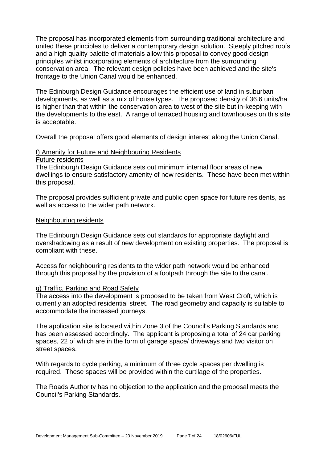The proposal has incorporated elements from surrounding traditional architecture and united these principles to deliver a contemporary design solution. Steeply pitched roofs and a high quality palette of materials allow this proposal to convey good design principles whilst incorporating elements of architecture from the surrounding conservation area. The relevant design policies have been achieved and the site's frontage to the Union Canal would be enhanced.

The Edinburgh Design Guidance encourages the efficient use of land in suburban developments, as well as a mix of house types. The proposed density of 36.6 units/ha is higher than that within the conservation area to west of the site but in-keeping with the developments to the east. A range of terraced housing and townhouses on this site is acceptable.

Overall the proposal offers good elements of design interest along the Union Canal.

#### f) Amenity for Future and Neighbouring Residents

#### Future residents

The Edinburgh Design Guidance sets out minimum internal floor areas of new dwellings to ensure satisfactory amenity of new residents. These have been met within this proposal.

The proposal provides sufficient private and public open space for future residents, as well as access to the wider path network.

#### Neighbouring residents

The Edinburgh Design Guidance sets out standards for appropriate daylight and overshadowing as a result of new development on existing properties. The proposal is compliant with these.

Access for neighbouring residents to the wider path network would be enhanced through this proposal by the provision of a footpath through the site to the canal.

#### g) Traffic, Parking and Road Safety

The access into the development is proposed to be taken from West Croft, which is currently an adopted residential street. The road geometry and capacity is suitable to accommodate the increased journeys.

The application site is located within Zone 3 of the Council's Parking Standards and has been assessed accordingly. The applicant is proposing a total of 24 car parking spaces, 22 of which are in the form of garage space/ driveways and two visitor on street spaces.

With regards to cycle parking, a minimum of three cycle spaces per dwelling is required. These spaces will be provided within the curtilage of the properties.

The Roads Authority has no objection to the application and the proposal meets the Council's Parking Standards.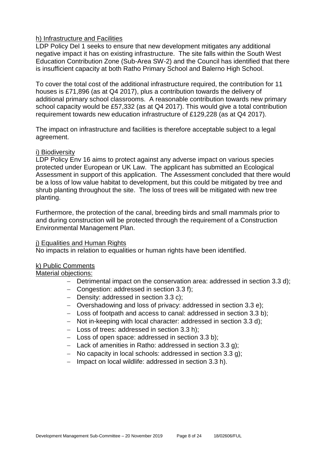#### h) Infrastructure and Facilities

LDP Policy Del 1 seeks to ensure that new development mitigates any additional negative impact it has on existing infrastructure. The site falls within the South West Education Contribution Zone (Sub-Area SW-2) and the Council has identified that there is insufficient capacity at both Ratho Primary School and Balerno High School.

To cover the total cost of the additional infrastructure required, the contribution for 11 houses is £71,896 (as at Q4 2017), plus a contribution towards the delivery of additional primary school classrooms. A reasonable contribution towards new primary school capacity would be £57,332 (as at Q4 2017). This would give a total contribution requirement towards new education infrastructure of £129,228 (as at Q4 2017).

The impact on infrastructure and facilities is therefore acceptable subject to a legal agreement.

#### i) Biodiversity

LDP Policy Env 16 aims to protect against any adverse impact on various species protected under European or UK Law. The applicant has submitted an Ecological Assessment in support of this application. The Assessment concluded that there would be a loss of low value habitat to development, but this could be mitigated by tree and shrub planting throughout the site. The loss of trees will be mitigated with new tree planting.

Furthermore, the protection of the canal, breeding birds and small mammals prior to and during construction will be protected through the requirement of a Construction Environmental Management Plan.

#### j) Equalities and Human Rights

No impacts in relation to equalities or human rights have been identified.

#### k) Public Comments

#### Material objections:

- Detrimental impact on the conservation area: addressed in section 3.3 d):
- Congestion: addressed in section 3.3 f);
- Density: addressed in section 3.3 c):
- Overshadowing and loss of privacy: addressed in section 3.3 e);
- Loss of footpath and access to canal: addressed in section 3.3 b);
- Not in-keeping with local character: addressed in section 3.3 d):
- Loss of trees: addressed in section 3.3 h):
- $-$  Loss of open space: addressed in section 3.3 b);
- $-$  Lack of amenities in Ratho: addressed in section 3.3 g);
- No capacity in local schools: addressed in section 3.3 g);
- $-$  Impact on local wildlife: addressed in section 3.3 h).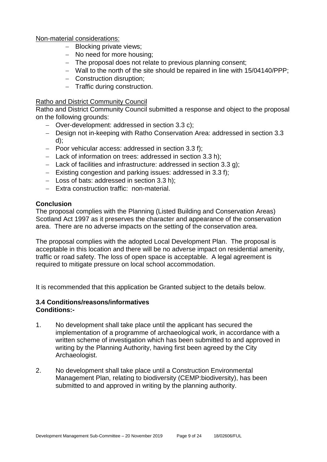#### Non-material considerations:

- Blocking private views;
- No need for more housing;
- The proposal does not relate to previous planning consent;
- Wall to the north of the site should be repaired in line with 15/04140/PPP;
- Construction disruption;
- Traffic during construction.

#### Ratho and District Community Council

Ratho and District Community Council submitted a response and object to the proposal on the following grounds:

- Over-development: addressed in section 3.3 c);
- Design not in-keeping with Ratho Conservation Area: addressed in section 3.3 d);
- $-$  Poor vehicular access: addressed in section 3.3 f);
- Lack of information on trees: addressed in section 3.3 h);
- $-$  Lack of facilities and infrastructure: addressed in section 3.3 g);
- $-$  Existing congestion and parking issues: addressed in 3.3 f);
- $-$  Loss of bats: addressed in section 3.3 h);
- Extra construction traffic: non-material.

#### **Conclusion**

The proposal complies with the Planning (Listed Building and Conservation Areas) Scotland Act 1997 as it preserves the character and appearance of the conservation area. There are no adverse impacts on the setting of the conservation area.

The proposal complies with the adopted Local Development Plan. The proposal is acceptable in this location and there will be no adverse impact on residential amenity, traffic or road safety. The loss of open space is acceptable. A legal agreement is required to mitigate pressure on local school accommodation.

It is recommended that this application be Granted subject to the details below.

#### **3.4 Conditions/reasons/informatives Conditions:-**

- 1. No development shall take place until the applicant has secured the implementation of a programme of archaeological work, in accordance with a written scheme of investigation which has been submitted to and approved in writing by the Planning Authority, having first been agreed by the City Archaeologist.
- 2. No development shall take place until a Construction Environmental Management Plan, relating to biodiversity (CEMP:biodiversity), has been submitted to and approved in writing by the planning authority.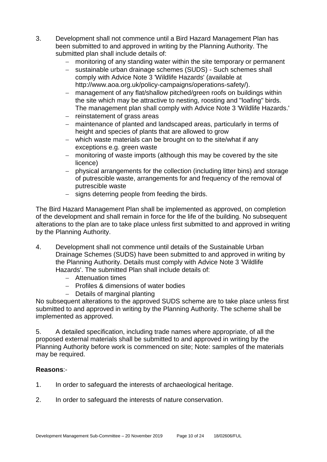- 3. Development shall not commence until a Bird Hazard Management Plan has been submitted to and approved in writing by the Planning Authority. The submitted plan shall include details of:
	- monitoring of any standing water within the site temporary or permanent
	- sustainable urban drainage schemes (SUDS) Such schemes shall comply with Advice Note 3 'Wildlife Hazards' (available at http://www.aoa.org.uk/policy-campaigns/operations-safety/).
	- management of any flat/shallow pitched/green roofs on buildings within the site which may be attractive to nesting, roosting and "loafing" birds. The management plan shall comply with Advice Note 3 'Wildlife Hazards.'
	- $-$  reinstatement of grass areas
	- maintenance of planted and landscaped areas, particularly in terms of height and species of plants that are allowed to grow
	- which waste materials can be brought on to the site/what if any exceptions e.g. green waste
	- monitoring of waste imports (although this may be covered by the site licence)
	- physical arrangements for the collection (including litter bins) and storage of putrescible waste, arrangements for and frequency of the removal of putrescible waste
	- signs deterring people from feeding the birds.

The Bird Hazard Management Plan shall be implemented as approved, on completion of the development and shall remain in force for the life of the building. No subsequent alterations to the plan are to take place unless first submitted to and approved in writing by the Planning Authority.

- 4. Development shall not commence until details of the Sustainable Urban Drainage Schemes (SUDS) have been submitted to and approved in writing by the Planning Authority. Details must comply with Advice Note 3 'Wildlife Hazards'. The submitted Plan shall include details of:
	- Attenuation times
	- Profiles & dimensions of water bodies
	- Details of marginal planting

No subsequent alterations to the approved SUDS scheme are to take place unless first submitted to and approved in writing by the Planning Authority. The scheme shall be implemented as approved.

5. A detailed specification, including trade names where appropriate, of all the proposed external materials shall be submitted to and approved in writing by the Planning Authority before work is commenced on site; Note: samples of the materials may be required.

#### **Reasons**:-

- 1. In order to safeguard the interests of archaeological heritage.
- 2. In order to safeguard the interests of nature conservation.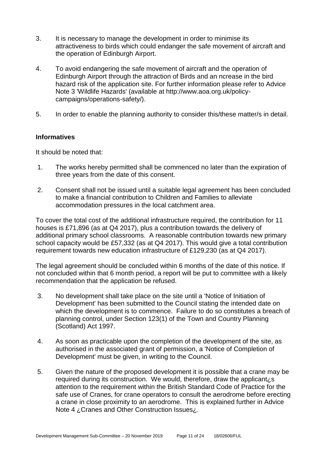- 3. It is necessary to manage the development in order to minimise its attractiveness to birds which could endanger the safe movement of aircraft and the operation of Edinburgh Airport.
- 4. To avoid endangering the safe movement of aircraft and the operation of Edinburgh Airport through the attraction of Birds and an ncrease in the bird hazard risk of the application site. For further information please refer to Advice Note 3 'Wildlife Hazards' (available at http://www.aoa.org.uk/policycampaigns/operations-safety/).
- 5. In order to enable the planning authority to consider this/these matter/s in detail.

#### **Informatives**

It should be noted that:

- 1. The works hereby permitted shall be commenced no later than the expiration of three years from the date of this consent.
- 2. Consent shall not be issued until a suitable legal agreement has been concluded to make a financial contribution to Children and Families to alleviate accommodation pressures in the local catchment area.

To cover the total cost of the additional infrastructure required, the contribution for 11 houses is £71,896 (as at Q4 2017), plus a contribution towards the delivery of additional primary school classrooms. A reasonable contribution towards new primary school capacity would be £57,332 (as at Q4 2017). This would give a total contribution requirement towards new education infrastructure of £129,230 (as at Q4 2017).

The legal agreement should be concluded within 6 months of the date of this notice. If not concluded within that 6 month period, a report will be put to committee with a likely recommendation that the application be refused.

- 3. No development shall take place on the site until a 'Notice of Initiation of Development' has been submitted to the Council stating the intended date on which the development is to commence. Failure to do so constitutes a breach of planning control, under Section 123(1) of the Town and Country Planning (Scotland) Act 1997.
- 4. As soon as practicable upon the completion of the development of the site, as authorised in the associated grant of permission, a 'Notice of Completion of Development' must be given, in writing to the Council.
- 5. Given the nature of the proposed development it is possible that a crane may be required during its construction. We would, therefore, draw the applicant¿s attention to the requirement within the British Standard Code of Practice for the safe use of Cranes, for crane operators to consult the aerodrome before erecting a crane in close proximity to an aerodrome. This is explained further in Advice Note 4 ¿Cranes and Other Construction Issues¿.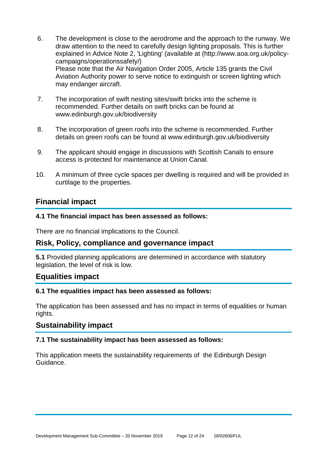- 6. The development is close to the aerodrome and the approach to the runway. We draw attention to the need to carefully design lighting proposals. This is further explained in Advice Note 2, 'Lighting' (available at (http://www.aoa.org.uk/policycampaigns/operationssafety/) Please note that the Air Navigation Order 2005, Article 135 grants the Civil Aviation Authority power to serve notice to extinguish or screen lighting which may endanger aircraft.
- 7. The incorporation of swift nesting sites/swift bricks into the scheme is recommended. Further details on swift bricks can be found at www.edinburgh.gov.uk/biodiversity
- 8. The incorporation of green roofs into the scheme is recommended. Further details on green roofs can be found at www.edinburgh.gov.uk/biodiversity
- 9. The applicant should engage in discussions with Scottish Canals to ensure access is protected for maintenance at Union Canal.
- 10. A minimum of three cycle spaces per dwelling is required and will be provided in curtilage to the properties.

# **Financial impact**

#### **4.1 The financial impact has been assessed as follows:**

There are no financial implications to the Council.

# **Risk, Policy, compliance and governance impact**

**5.1** Provided planning applications are determined in accordance with statutory legislation, the level of risk is low.

# **Equalities impact**

#### **6.1 The equalities impact has been assessed as follows:**

The application has been assessed and has no impact in terms of equalities or human rights.

# **Sustainability impact**

#### **7.1 The sustainability impact has been assessed as follows:**

This application meets the sustainability requirements of the Edinburgh Design Guidance.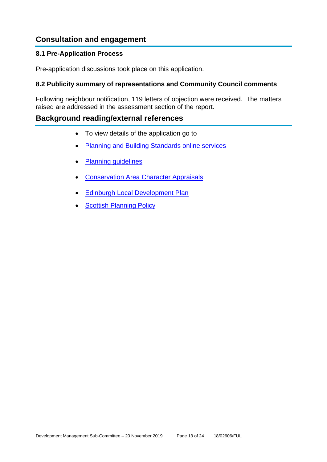# **Consultation and engagement**

#### **8.1 Pre-Application Process**

Pre-application discussions took place on this application.

#### **8.2 Publicity summary of representations and Community Council comments**

Following neighbour notification, 119 letters of objection were received. The matters raised are addressed in the assessment section of the report.

# **Background reading/external references**

- To view details of the application go to
- [Planning and Building Standards online services](https://citydev-portal.edinburgh.gov.uk/idoxpa-web/search.do?action=simple&searchType=Application)
- [Planning guidelines](http://www.edinburgh.gov.uk/planningguidelines)
- [Conservation Area Character Appraisals](http://www.edinburgh.gov.uk/characterappraisals)
- [Edinburgh Local Development Plan](http://www.edinburgh.gov.uk/localdevelopmentplan)
- [Scottish Planning Policy](http://www.scotland.gov.uk/Topics/Built-Environment/planning/Policy)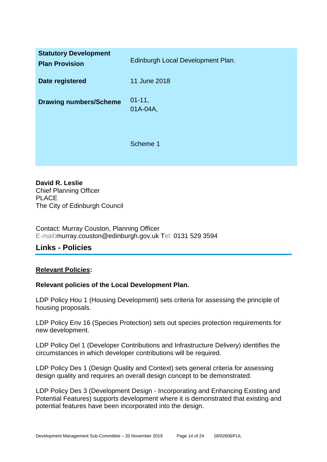| <b>Statutory Development</b><br><b>Plan Provision</b> | Edinburgh Local Development Plan. |
|-------------------------------------------------------|-----------------------------------|
| Date registered                                       | 11 June 2018                      |
| <b>Drawing numbers/Scheme</b>                         | $01 - 11$ ,<br>01A-04A,           |
|                                                       | Scheme 1                          |

**David R. Leslie** Chief Planning Officer PLACE The City of Edinburgh Council

Contact: Murray Couston, Planning Officer E-mail:murray.couston@edinburgh.gov.uk Tel: 0131 529 3594

# **Links - Policies**

#### **Relevant Policies:**

#### **Relevant policies of the Local Development Plan.**

LDP Policy Hou 1 (Housing Development) sets criteria for assessing the principle of housing proposals.

LDP Policy Env 16 (Species Protection) sets out species protection requirements for new development.

LDP Policy Del 1 (Developer Contributions and Infrastructure Delivery) identifies the circumstances in which developer contributions will be required.

LDP Policy Des 1 (Design Quality and Context) sets general criteria for assessing design quality and requires an overall design concept to be demonstrated.

LDP Policy Des 3 (Development Design - Incorporating and Enhancing Existing and Potential Features) supports development where it is demonstrated that existing and potential features have been incorporated into the design.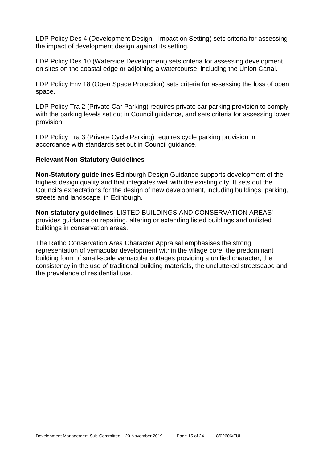LDP Policy Des 4 (Development Design - Impact on Setting) sets criteria for assessing the impact of development design against its setting.

LDP Policy Des 10 (Waterside Development) sets criteria for assessing development on sites on the coastal edge or adjoining a watercourse, including the Union Canal.

LDP Policy Env 18 (Open Space Protection) sets criteria for assessing the loss of open space.

LDP Policy Tra 2 (Private Car Parking) requires private car parking provision to comply with the parking levels set out in Council guidance, and sets criteria for assessing lower provision.

LDP Policy Tra 3 (Private Cycle Parking) requires cycle parking provision in accordance with standards set out in Council guidance.

#### **Relevant Non-Statutory Guidelines**

**Non-Statutory guidelines** Edinburgh Design Guidance supports development of the highest design quality and that integrates well with the existing city. It sets out the Council's expectations for the design of new development, including buildings, parking, streets and landscape, in Edinburgh.

**Non-statutory guidelines** 'LISTED BUILDINGS AND CONSERVATION AREAS' provides guidance on repairing, altering or extending listed buildings and unlisted buildings in conservation areas.

The Ratho Conservation Area Character Appraisal emphasises the strong representation of vernacular development within the village core, the predominant building form of small-scale vernacular cottages providing a unified character, the consistency in the use of traditional building materials, the uncluttered streetscape and the prevalence of residential use.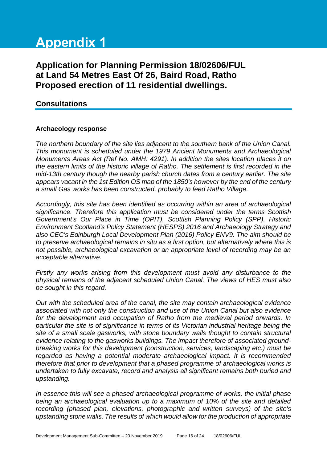# **Appendix 1**

# **Application for Planning Permission 18/02606/FUL at Land 54 Metres East Of 26, Baird Road, Ratho Proposed erection of 11 residential dwellings.**

# **Consultations**

#### **Archaeology response**

*The northern boundary of the site lies adjacent to the southern bank of the Union Canal. This monument is scheduled under the 1979 Ancient Monuments and Archaeological Monuments Areas Act (Ref No. AMH: 4291). In addition the sites location places it on the eastern limits of the historic village of Ratho. The settlement is first recorded in the mid-13th century though the nearby parish church dates from a century earlier. The site appears vacant in the 1st Edition OS map of the 1850's however by the end of the century a small Gas works has been constructed, probably to feed Ratho Village.*

*Accordingly, this site has been identified as occurring within an area of archaeological significance. Therefore this application must be considered under the terms Scottish Government's Our Place in Time (OPIT), Scottish Planning Policy (SPP), Historic Environment Scotland's Policy Statement (HESPS) 2016 and Archaeology Strategy and also CEC's Edinburgh Local Development Plan (2016) Policy ENV9. The aim should be to preserve archaeological remains in situ as a first option, but alternatively where this is not possible, archaeological excavation or an appropriate level of recording may be an acceptable alternative.*

*Firstly any works arising from this development must avoid any disturbance to the physical remains of the adjacent scheduled Union Canal. The views of HES must also be sought in this regard.*

*Out with the scheduled area of the canal, the site may contain archaeological evidence associated with not only the construction and use of the Union Canal but also evidence*  for the development and occupation of Ratho from the medieval period onwards. In *particular the site is of significance in terms of its Victorian industrial heritage being the site of a small scale gasworks, with stone boundary walls thought to contain structural evidence relating to the gasworks buildings. The impact therefore of associated groundbreaking works for this development (construction, services, landscaping etc.) must be regarded as having a potential moderate archaeological impact. It is recommended therefore that prior to development that a phased programme of archaeological works is undertaken to fully excavate, record and analysis all significant remains both buried and upstanding.*

*In essence this will see a phased archaeological programme of works, the initial phase being an archaeological evaluation up to a maximum of 10% of the site and detailed recording (phased plan, elevations, photographic and written surveys) of the site's upstanding stone walls. The results of which would allow for the production of appropriate*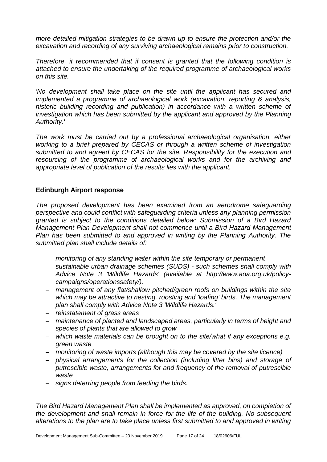*more detailed mitigation strategies to be drawn up to ensure the protection and/or the excavation and recording of any surviving archaeological remains prior to construction.* 

*Therefore, it recommended that if consent is granted that the following condition is attached to ensure the undertaking of the required programme of archaeological works on this site.*

*'No development shall take place on the site until the applicant has secured and implemented a programme of archaeological work (excavation, reporting & analysis, historic building recording and publication) in accordance with a written scheme of*  investigation which has been submitted by the applicant and approved by the Planning *Authority.'* 

*The work must be carried out by a professional archaeological organisation, either working to a brief prepared by CECAS or through a written scheme of investigation submitted to and agreed by CECAS for the site. Responsibility for the execution and resourcing of the programme of archaeological works and for the archiving and appropriate level of publication of the results lies with the applicant.*

#### **Edinburgh Airport response**

*The proposed development has been examined from an aerodrome safeguarding perspective and could conflict with safeguarding criteria unless any planning permission granted is subject to the conditions detailed below: Submission of a Bird Hazard Management Plan Development shall not commence until a Bird Hazard Management Plan has been submitted to and approved in writing by the Planning Authority. The submitted plan shall include details of:*

- *monitoring of any standing water within the site temporary or permanent*
- *sustainable urban drainage schemes (SUDS) - such schemes shall comply with Advice Note 3 'Wildlife Hazards' (available at http://www.aoa.org.uk/policycampaigns/operationssafety/).*
- *management of any flat/shallow pitched/green roofs on buildings within the site which may be attractive to nesting, roosting and 'loafing' birds. The management plan shall comply with Advice Note 3 'Wildlife Hazards.'*
- *reinstatement of grass areas*
- *maintenance of planted and landscaped areas, particularly in terms of height and species of plants that are allowed to grow*
- *which waste materials can be brought on to the site/what if any exceptions e.g. green waste*
- *monitoring of waste imports (although this may be covered by the site licence)*
- *physical arrangements for the collection (including litter bins) and storage of putrescible waste, arrangements for and frequency of the removal of putrescible waste*
- *signs deterring people from feeding the birds.*

*The Bird Hazard Management Plan shall be implemented as approved, on completion of the development and shall remain in force for the life of the building. No subsequent alterations to the plan are to take place unless first submitted to and approved in writing*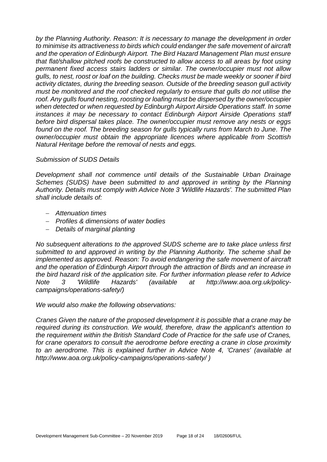*by the Planning Authority. Reason: It is necessary to manage the development in order to minimise its attractiveness to birds which could endanger the safe movement of aircraft and the operation of Edinburgh Airport. The Bird Hazard Management Plan must ensure that flat/shallow pitched roofs be constructed to allow access to all areas by foot using permanent fixed access stairs ladders or similar. The owner/occupier must not allow gulls, to nest, roost or loaf on the building. Checks must be made weekly or sooner if bird activity dictates, during the breeding season. Outside of the breeding season gull activity must be monitored and the roof checked regularly to ensure that gulls do not utilise the roof. Any gulls found nesting, roosting or loafing must be dispersed by the owner/occupier when detected or when requested by Edinburgh Airport Airside Operations staff. In some instances it may be necessary to contact Edinburgh Airport Airside Operations staff before bird dispersal takes place. The owner/occupier must remove any nests or eggs found on the roof. The breeding season for gulls typically runs from March to June. The owner/occupier must obtain the appropriate licences where applicable from Scottish Natural Heritage before the removal of nests and eggs.*

#### *Submission of SUDS Details*

*Development shall not commence until details of the Sustainable Urban Drainage Schemes (SUDS) have been submitted to and approved in writing by the Planning Authority. Details must comply with Advice Note 3 'Wildlife Hazards'. The submitted Plan shall include details of:* 

- *Attenuation times*
- *Profiles & dimensions of water bodies*
- *Details of marginal planting*

*No subsequent alterations to the approved SUDS scheme are to take place unless first submitted to and approved in writing by the Planning Authority. The scheme shall be implemented as approved. Reason: To avoid endangering the safe movement of aircraft and the operation of Edinburgh Airport through the attraction of Birds and an increase in the bird hazard risk of the application site. For further information please refer to Advice Note 3 'Wildlife Hazards' (available at http://www.aoa.org.uk/policycampaigns/operations-safety/)* 

*We would also make the following observations:*

*Cranes Given the nature of the proposed development it is possible that a crane may be required during its construction. We would, therefore, draw the applicant's attention to the requirement within the British Standard Code of Practice for the safe use of Cranes, for crane operators to consult the aerodrome before erecting a crane in close proximity to an aerodrome. This is explained further in Advice Note 4, 'Cranes' (available at http://www.aoa.org.uk/policy-campaigns/operations-safety/ )*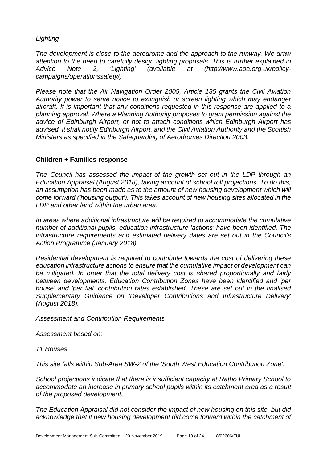*Lighting* 

*The development is close to the aerodrome and the approach to the runway. We draw attention to the need to carefully design lighting proposals. This is further explained in Advice Note 2, 'Lighting' (available at (http://www.aoa.org.uk/policycampaigns/operationssafety/)* 

*Please note that the Air Navigation Order 2005, Article 135 grants the Civil Aviation Authority power to serve notice to extinguish or screen lighting which may endanger aircraft. It is important that any conditions requested in this response are applied to a planning approval. Where a Planning Authority proposes to grant permission against the advice of Edinburgh Airport, or not to attach conditions which Edinburgh Airport has advised, it shall notify Edinburgh Airport, and the Civil Aviation Authority and the Scottish Ministers as specified in the Safeguarding of Aerodromes Direction 2003.*

#### **Children + Families response**

*The Council has assessed the impact of the growth set out in the LDP through an Education Appraisal (August 2018), taking account of school roll projections. To do this,*  an assumption has been made as to the amount of new housing development which will *come forward ('housing output'). This takes account of new housing sites allocated in the LDP and other land within the urban area.*

*In areas where additional infrastructure will be required to accommodate the cumulative number of additional pupils, education infrastructure 'actions' have been identified. The infrastructure requirements and estimated delivery dates are set out in the Council's Action Programme (January 2018).*

*Residential development is required to contribute towards the cost of delivering these education infrastructure actions to ensure that the cumulative impact of development can be mitigated. In order that the total delivery cost is shared proportionally and fairly between developments, Education Contribution Zones have been identified and 'per house' and 'per flat' contribution rates established. These are set out in the finalised Supplementary Guidance on 'Developer Contributions and Infrastructure Delivery' (August 2018).* 

*Assessment and Contribution Requirements*

*Assessment based on:*

*11 Houses*

*This site falls within Sub-Area SW-2 of the 'South West Education Contribution Zone'.* 

*School projections indicate that there is insufficient capacity at Ratho Primary School to accommodate an increase in primary school pupils within its catchment area as a result of the proposed development.* 

*The Education Appraisal did not consider the impact of new housing on this site, but did acknowledge that if new housing development did come forward within the catchment of*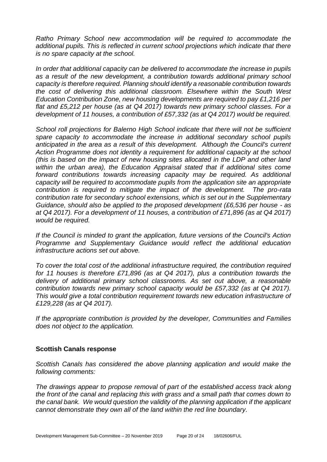*Ratho Primary School new accommodation will be required to accommodate the additional pupils. This is reflected in current school projections which indicate that there is no spare capacity at the school.*

*In order that additional capacity can be delivered to accommodate the increase in pupils as a result of the new development, a contribution towards additional primary school capacity is therefore required. Planning should identify a reasonable contribution towards the cost of delivering this additional classroom. Elsewhere within the South West Education Contribution Zone, new housing developments are required to pay £1,216 per flat and £5,212 per house (as at Q4 2017) towards new primary school classes. For a development of 11 houses, a contribution of £57,332 (as at Q4 2017) would be required.* 

*School roll projections for Balerno High School indicate that there will not be sufficient spare capacity to accommodate the increase in additional secondary school pupils anticipated in the area as a result of this development. Although the Council's current Action Programme does not identity a requirement for additional capacity at the school (this is based on the impact of new housing sites allocated in the LDP and other land within the urban area), the Education Appraisal stated that if additional sites come forward contributions towards increasing capacity may be required. As additional capacity will be required to accommodate pupils from the application site an appropriate contribution is required to mitigate the impact of the development. The pro-rata contribution rate for secondary school extensions, which is set out in the Supplementary Guidance, should also be applied to the proposed development (£6,536 per house - as at Q4 2017). For a development of 11 houses, a contribution of £71,896 (as at Q4 2017) would be required.* 

*If the Council is minded to grant the application, future versions of the Council's Action Programme and Supplementary Guidance would reflect the additional education infrastructure actions set out above.* 

*To cover the total cost of the additional infrastructure required, the contribution required for 11 houses is therefore £71,896 (as at Q4 2017), plus a contribution towards the delivery of additional primary school classrooms. As set out above, a reasonable contribution towards new primary school capacity would be £57,332 (as at Q4 2017). This would give a total contribution requirement towards new education infrastructure of £129,228 (as at Q4 2017).*

*If the appropriate contribution is provided by the developer, Communities and Families does not object to the application.*

#### **Scottish Canals response**

*Scottish Canals has considered the above planning application and would make the following comments:*

*The drawings appear to propose removal of part of the established access track along the front of the canal and replacing this with grass and a small path that comes down to the canal bank. We would question the validity of the planning application if the applicant cannot demonstrate they own all of the land within the red line boundary.*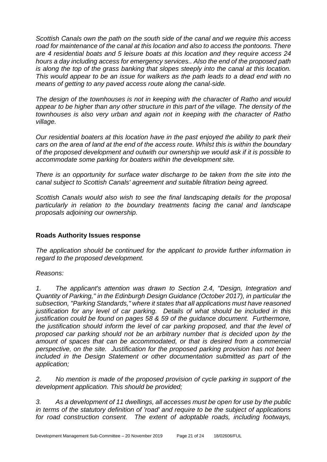*Scottish Canals own the path on the south side of the canal and we require this access road for maintenance of the canal at this location and also to access the pontoons. There are 4 residential boats and 5 leisure boats at this location and they require access 24 hours a day including access for emergency services.. Also the end of the proposed path is along the top of the grass banking that slopes steeply into the canal at this location. This would appear to be an issue for walkers as the path leads to a dead end with no means of getting to any paved access route along the canal-side.* 

*The design of the townhouses is not in keeping with the character of Ratho and would appear to be higher than any other structure in this part of the village. The density of the townhouses is also very urban and again not in keeping with the character of Ratho village.*

*Our residential boaters at this location have in the past enjoyed the ability to park their cars on the area of land at the end of the access route. Whilst this is within the boundary of the proposed development and outwith our ownership we would ask if it is possible to accommodate some parking for boaters within the development site.*

*There is an opportunity for surface water discharge to be taken from the site into the canal subject to Scottish Canals' agreement and suitable filtration being agreed.*

*Scottish Canals would also wish to see the final landscaping details for the proposal particularly in relation to the boundary treatments facing the canal and landscape proposals adjoining our ownership.*

# **Roads Authority Issues response**

*The application should be continued for the applicant to provide further information in regard to the proposed development.*

#### *Reasons:*

*1. The applicant's attention was drawn to Section 2.4, "Design, Integration and Quantity of Parking," in the Edinburgh Design Guidance (October 2017), in particular the subsection, "Parking Standards," where it states that all applications must have reasoned justification for any level of car parking. Details of what should be included in this justification could be found on pages 58 & 59 of the guidance document. Furthermore, the justification should inform the level of car parking proposed, and that the level of proposed car parking should not be an arbitrary number that is decided upon by the amount of spaces that can be accommodated, or that is desired from a commercial perspective, on the site. Justification for the proposed parking provision has not been included in the Design Statement or other documentation submitted as part of the application;*

*2. No mention is made of the proposed provision of cycle parking in support of the development application. This should be provided;*

*3. As a development of 11 dwellings, all accesses must be open for use by the public in terms of the statutory definition of 'road' and require to be the subject of applications for road construction consent. The extent of adoptable roads, including footways,*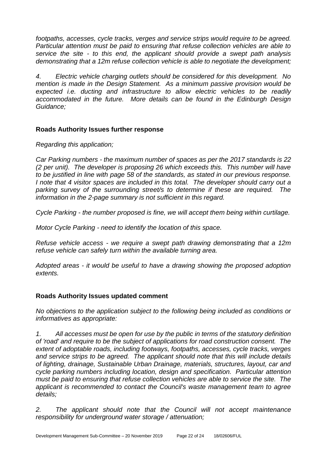*footpaths, accesses, cycle tracks, verges and service strips would require to be agreed. Particular attention must be paid to ensuring that refuse collection vehicles are able to service the site - to this end, the applicant should provide a swept path analysis demonstrating that a 12m refuse collection vehicle is able to negotiate the development;*

*4. Electric vehicle charging outlets should be considered for this development. No mention is made in the Design Statement. As a minimum passive provision would be expected i.e. ducting and infrastructure to allow electric vehicles to be readily accommodated in the future. More details can be found in the Edinburgh Design Guidance;*

# **Roads Authority Issues further response**

*Regarding this application;*

*Car Parking numbers - the maximum number of spaces as per the 2017 standards is 22 (2 per unit). The developer is proposing 26 which exceeds this. This number will have to be justified in line with page 58 of the standards, as stated in our previous response. I note that 4 visitor spaces are included in this total. The developer should carry out a parking survey of the surrounding street/s to determine if these are required. The information in the 2-page summary is not sufficient in this regard.*

*Cycle Parking - the number proposed is fine, we will accept them being within curtilage.*

*Motor Cycle Parking - need to identify the location of this space.*

*Refuse vehicle access - we require a swept path drawing demonstrating that a 12m refuse vehicle can safely turn within the available turning area.*

*Adopted areas - it would be useful to have a drawing showing the proposed adoption extents.*

# **Roads Authority Issues updated comment**

*No objections to the application subject to the following being included as conditions or informatives as appropriate:*

*1. All accesses must be open for use by the public in terms of the statutory definition of 'road' and require to be the subject of applications for road construction consent. The extent of adoptable roads, including footways, footpaths, accesses, cycle tracks, verges and service strips to be agreed. The applicant should note that this will include details of lighting, drainage, Sustainable Urban Drainage, materials, structures, layout, car and cycle parking numbers including location, design and specification. Particular attention must be paid to ensuring that refuse collection vehicles are able to service the site. The applicant is recommended to contact the Council's waste management team to agree details;*

*2. The applicant should note that the Council will not accept maintenance responsibility for underground water storage / attenuation;*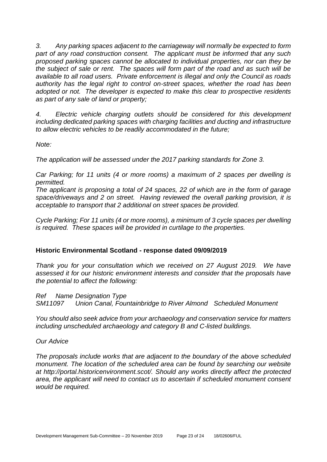*3. Any parking spaces adjacent to the carriageway will normally be expected to form*  part of any road construction consent. The applicant must be informed that any such *proposed parking spaces cannot be allocated to individual properties, nor can they be the subject of sale or rent. The spaces will form part of the road and as such will be available to all road users. Private enforcement is illegal and only the Council as roads authority has the legal right to control on-street spaces, whether the road has been adopted or not. The developer is expected to make this clear to prospective residents as part of any sale of land or property;*

*4. Electric vehicle charging outlets should be considered for this development including dedicated parking spaces with charging facilities and ducting and infrastructure to allow electric vehicles to be readily accommodated in the future;*

*Note:*

*The application will be assessed under the 2017 parking standards for Zone 3.* 

*Car Parking; for 11 units (4 or more rooms) a maximum of 2 spaces per dwelling is permitted.*

*The applicant is proposing a total of 24 spaces, 22 of which are in the form of garage space/driveways and 2 on street. Having reviewed the overall parking provision, it is acceptable to transport that 2 additional on street spaces be provided.*

*Cycle Parking; For 11 units (4 or more rooms), a minimum of 3 cycle spaces per dwelling is required. These spaces will be provided in curtilage to the properties.* 

#### **Historic Environmental Scotland - response dated 09/09/2019**

*Thank you for your consultation which we received on 27 August 2019. We have assessed it for our historic environment interests and consider that the proposals have the potential to affect the following:*

*Ref Name Designation Type SM11097 Union Canal, Fountainbridge to River Almond Scheduled Monument*

*You should also seek advice from your archaeology and conservation service for matters including unscheduled archaeology and category B and C-listed buildings.*

*Our Advice*

*The proposals include works that are adjacent to the boundary of the above scheduled monument. The location of the scheduled area can be found by searching our website at http://portal.historicenvironment.scot/. Should any works directly affect the protected area, the applicant will need to contact us to ascertain if scheduled monument consent would be required.*